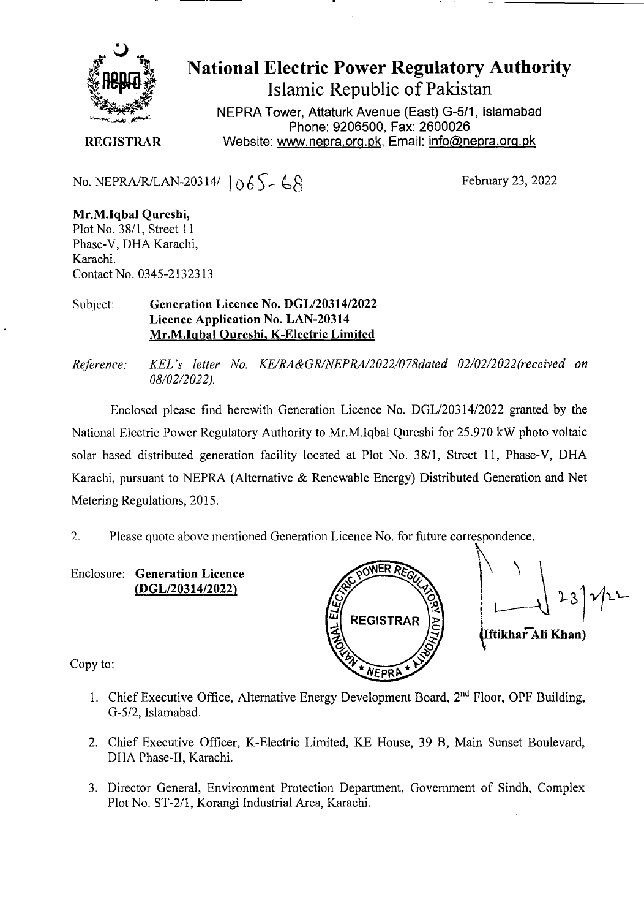

National Electric Power Regulatory Authority

Islamic Republic of Pakistan

**NEPRA Tower, Attaturk Avenue (East) G-511, Islamabad Phone: 9206500, Fax: 2600026**  Website: www.nepra.org.pk, Email: info@nepra.org.pk

**REGISTRAR** 

No. NEPRA/R/LAN-20314/  $\bigcup_{\alpha} \bigcup_{\beta} \bigcup_{\beta} \bigcup_{\beta} \bigcup_{\beta} \bigcap_{\beta}$  February 23, 2022

**Mr.M.Iqbal Qureshi,**  Plot No. 38/1, Street 11 Phase-V, DHA Karachi, Karachi. Contact No. 0345-21323 13

Subject: **Generation Licence** No. DGL/20314/2022 Licence Application No. LAN-20314 **Mr.M.Iqbal Oureshi, K-Electric Limited** 

*Reference: KEL 's letter No. KE/RA&GR/NEPRA/2022/078daed 02/02/2022('received on 08/02/2022).* 

Enclosed please find herewith Generation Licence No. DGL/20314/2022 granted by the National Electric Power Regulatory Authority to Mr.M.lqbal Qureshi for *25.970* kW photo voltaic solar based distributed generation facility located at Plot No. 38/1, Street 11, Phase-V, DHA Karachi, pursuant to NEPRA (Alternative & Renewable Energy) Distributed Generation and Net Metering Regulations, 2015.

7 Please quote above mentioned Generation Licence No. for future correspondence.

Enclosure: **Generation Licence**  (DGL/20314/2022)



 $23)$ 122 Iftikhar Ali Khan)

Copy to:

- 1. Chief Executive Office, Alternative Energy Development Board, 2<sup>nd</sup> Floor, OPF Building, G-5/2, Islamabad.
- 2. Chief Executive Officer, K-Electric Limited, KE House, 39 B, Main Sunset Boulevard, DHA Phase-II, Karachi.
- 3. Director General, Environment Protection Department, Government of Sindh, Complex Plot No. ST-2/1, Korangi Industrial Area, Karachi.